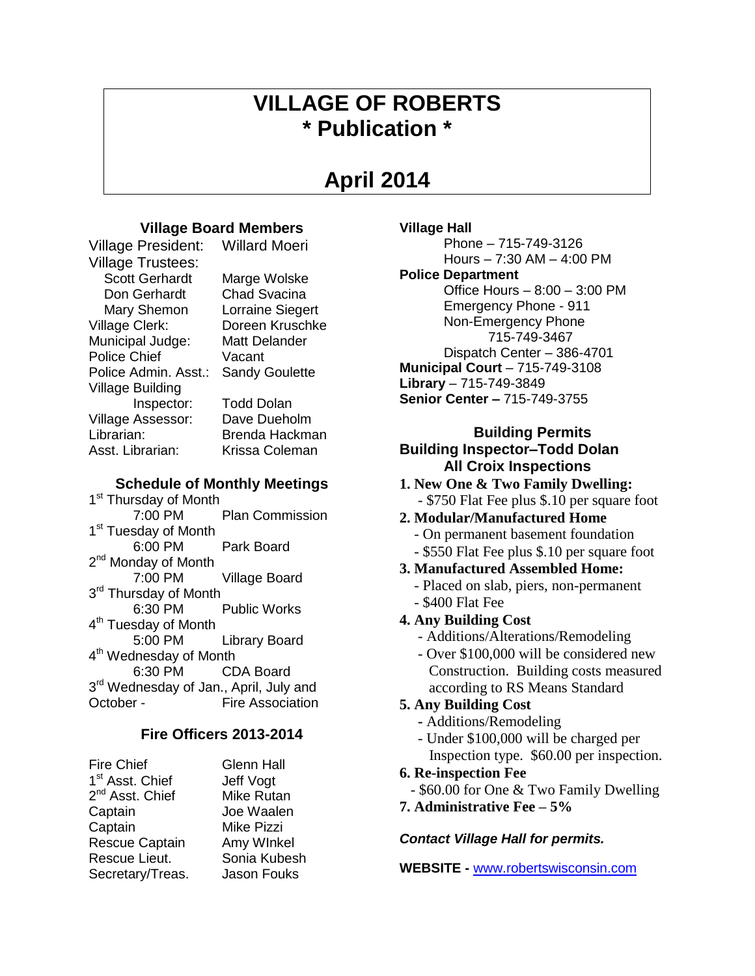# **VILLAGE OF ROBERTS \* Publication \***

# **April 2014**

# **Village Board Members**

Village President: Willard Moeri

Village Trustees: Scott Gerhardt Marge Wolske Don Gerhardt Chad Svacina Mary Shemon Lorraine Siegert Village Clerk: Doreen Kruschke Municipal Judge: Matt Delander Police Chief Vacant Police Admin. Asst.: Sandy Goulette Village Building Inspector: Todd Dolan Village Assessor: Dave Dueholm Librarian: Brenda Hackman Asst. Librarian: Krissa Coleman

# **Schedule of Monthly Meetings**

1<sup>st</sup> Thursday of Month 7:00 PM Plan Commission 1<sup>st</sup> Tuesday of Month 6:00 PM Park Board 2<sup>nd</sup> Monday of Month 7:00 PM Village Board 3<sup>rd</sup> Thursday of Month 6:30 PM Public Works 4<sup>th</sup> Tuesday of Month 5:00 PM Library Board 4<sup>th</sup> Wednesday of Month 6:30 PM CDA Board 3<sup>rd</sup> Wednesday of Jan., April, July and October - Fire Association

# **Fire Officers 2013-2014**

| Fire Chief                  |
|-----------------------------|
| 1 <sup>st</sup> Asst. Chief |
| 2 <sup>nd</sup> Asst. Chief |
| Captain                     |
| Captain                     |
| <b>Rescue Captain</b>       |
| Rescue Lieut.               |
| Secretary/Treas.            |
|                             |

Glenn Hall Jeff Vogt. Mike Rutan Joe Waalen **Mike Pizzi** Amy WInkel Sonia Kubesh **Jason Fouks** 

## **Village Hall**

Phone – 715-749-3126 Hours – 7:30 AM – 4:00 PM

## **Police Department**

Office Hours – 8:00 – 3:00 PM Emergency Phone - 911 Non-Emergency Phone 715-749-3467 Dispatch Center – 386-4701 **Municipal Court** – 715-749-3108 **Library** – 715-749-3849 **Senior Center –** 715-749-3755

# **Building Permits Building Inspector–Todd Dolan All Croix Inspections**

**1. New One & Two Family Dwelling:** - \$750 Flat Fee plus \$.10 per square foot

# **2. Modular/Manufactured Home**

- On permanent basement foundation
- \$550 Flat Fee plus \$.10 per square foot
- **3. Manufactured Assembled Home:**
	- Placed on slab, piers, non-permanent
	- \$400 Flat Fee
- **4. Any Building Cost**
	- Additions/Alterations/Remodeling
	- Over \$100,000 will be considered new Construction. Building costs measured according to RS Means Standard

# **5. Any Building Cost**

- **-** Additions/Remodeling
- Under \$100,000 will be charged per Inspection type. \$60.00 per inspection.

# **6. Re-inspection Fee**

- \$60.00 for One & Two Family Dwelling
- **7. Administrative Fee – 5%**

# *Contact Village Hall for permits.*

**WEBSITE -** [www.robertswisconsin.com](http://www.robertswisconsin.com/)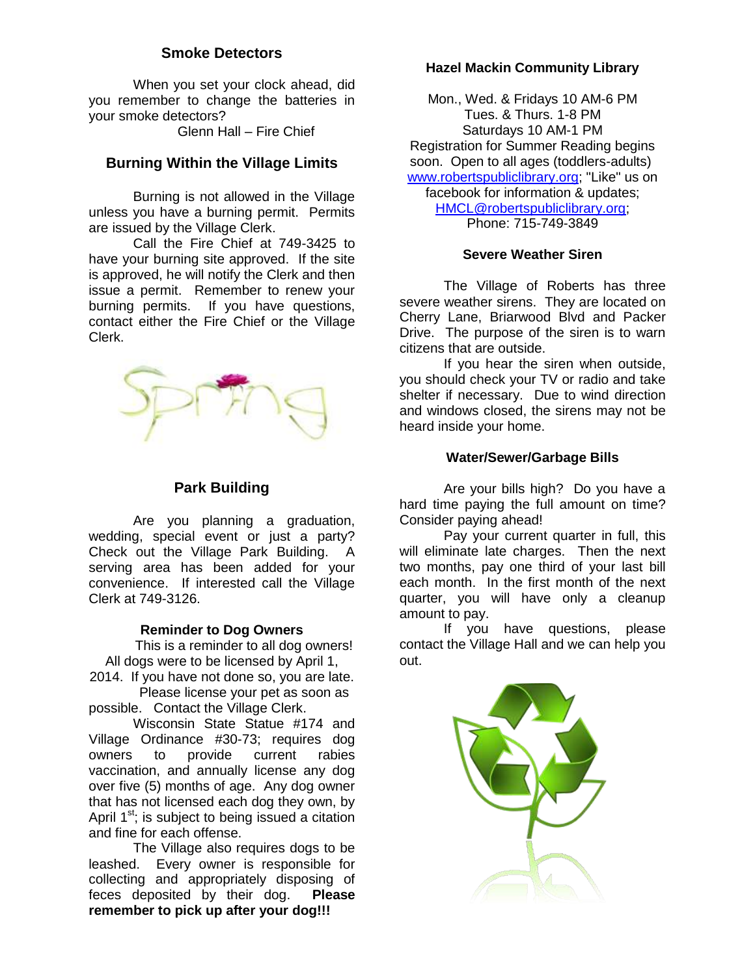# **Smoke Detectors**

When you set your clock ahead, did you remember to change the batteries in your smoke detectors?

Glenn Hall – Fire Chief

# **Burning Within the Village Limits**

Burning is not allowed in the Village unless you have a burning permit. Permits are issued by the Village Clerk.

Call the Fire Chief at 749-3425 to have your burning site approved. If the site is approved, he will notify the Clerk and then issue a permit. Remember to renew your burning permits. If you have questions, contact either the Fire Chief or the Village Clerk.



## **Park Building**

Are you planning a graduation, wedding, special event or just a party? Check out the Village Park Building. A serving area has been added for your convenience. If interested call the Village Clerk at 749-3126.

## **Reminder to Dog Owners**

This is a reminder to all dog owners! All dogs were to be licensed by April 1,

2014. If you have not done so, you are late. Please license your pet as soon as

possible. Contact the Village Clerk. Wisconsin State Statue #174 and

Village Ordinance #30-73; requires dog owners to provide current rabies vaccination, and annually license any dog over five (5) months of age. Any dog owner that has not licensed each dog they own, by April  $1<sup>st</sup>$ ; is subject to being issued a citation and fine for each offense.

The Village also requires dogs to be leashed. Every owner is responsible for collecting and appropriately disposing of feces deposited by their dog. **Please remember to pick up after your dog!!!**

## **Hazel Mackin Community Library**

Mon., Wed. & Fridays 10 AM-6 PM Tues. & Thurs. 1-8 PM Saturdays 10 AM-1 PM Registration for Summer Reading begins soon. Open to all ages (toddlers-adults) [www.robertspubliclibrary.org;](http://www.robertspubliclibrary.org/) "Like" us on facebook for information & updates; [HMCL@robertspubliclibrary.org;](mailto:HMCL@robertspubliclibrary.org) Phone: 715-749-3849

### **Severe Weather Siren**

The Village of Roberts has three severe weather sirens. They are located on Cherry Lane, Briarwood Blvd and Packer Drive. The purpose of the siren is to warn citizens that are outside.

If you hear the siren when outside, you should check your TV or radio and take shelter if necessary. Due to wind direction and windows closed, the sirens may not be heard inside your home.

## **Water/Sewer/Garbage Bills**

Are your bills high? Do you have a hard time paying the full amount on time? Consider paying ahead!

Pay your current quarter in full, this will eliminate late charges. Then the next two months, pay one third of your last bill each month. In the first month of the next quarter, you will have only a cleanup amount to pay.

If you have questions, please contact the Village Hall and we can help you out.

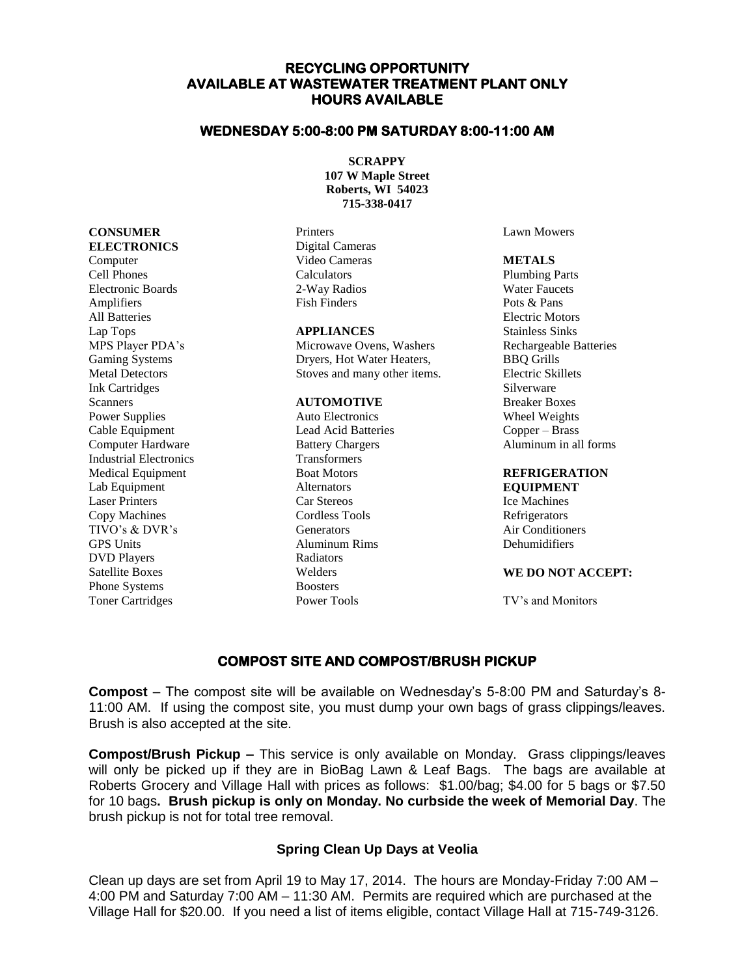### **RECYCLING OPPORTUNITY AVAILABLE AT WASTEWATER TREATMENT PLANT ONLY HOURS AVAILABLE**

#### **WEDNESDAY 5:00-8:00 PM SATURDAY 8:00-11:00 AM**

**SCRAPPY 107 W Maple Street Roberts, WI 54023 715-338-0417**

Printers Digital Cameras Video Cameras Calculators 2-Way Radios Fish Finders

#### **APPLIANCES**

Microwave Ovens, Washers Dryers, Hot Water Heaters, Stoves and many other items.

#### **AUTOMOTIVE**

Auto Electronics Lead Acid Batteries Battery Chargers Transformers Boat Motors **Alternators** Car Stereos Cordless Tools Generators Aluminum Rims Radiators Welders **Boosters** Power Tools

Lawn Mowers

#### **METALS**

Plumbing Parts Water Faucets Pots & Pans Electric Motors Stainless Sinks Rechargeable Batteries BBQ Grills Electric Skillets Silverware Breaker Boxes Wheel Weights Copper – Brass Aluminum in all forms

#### **REFRIGERATION EQUIPMENT**

Ice Machines Refrigerators Air Conditioners Dehumidifiers

#### **WE DO NOT ACCEPT:**

TV's and Monitors

#### **COMPOST SITE AND COMPOST/BRUSH PICKUP**

**Compost** – The compost site will be available on Wednesday's 5-8:00 PM and Saturday's 8- 11:00 AM. If using the compost site, you must dump your own bags of grass clippings/leaves. Brush is also accepted at the site.

**Compost/Brush Pickup –** This service is only available on Monday. Grass clippings/leaves will only be picked up if they are in BioBag Lawn & Leaf Bags. The bags are available at Roberts Grocery and Village Hall with prices as follows: \$1.00/bag; \$4.00 for 5 bags or \$7.50 for 10 bags**. Brush pickup is only on Monday. No curbside the week of Memorial Day**. The brush pickup is not for total tree removal.

#### **Spring Clean Up Days at Veolia**

Clean up days are set from April 19 to May 17, 2014. The hours are Monday-Friday 7:00 AM – 4:00 PM and Saturday 7:00 AM – 11:30 AM. Permits are required which are purchased at the Village Hall for \$20.00. If you need a list of items eligible, contact Village Hall at 715-749-3126.

Computer Cell Phones Electronic Boards Amplifiers All Batteries Lap Tops MPS Player PDA's Gaming Systems Metal Detectors Ink Cartridges Scanners Power Supplies Cable Equipment Computer Hardware Industrial Electronics Medical Equipment Lab Equipment Laser Printers Copy Machines TIVO's & DVR's GPS Units DVD Players Satellite Boxes Phone Systems Toner Cartridges

**CONSUMER ELECTRONICS**